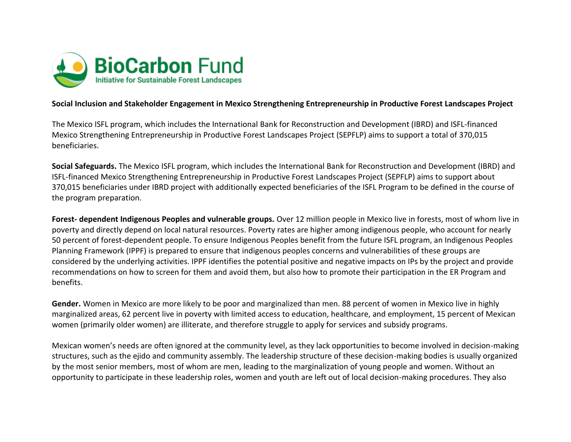

## **Social Inclusion and Stakeholder Engagement in Mexico Strengthening Entrepreneurship in Productive Forest Landscapes Project**

The Mexico ISFL program, which includes the International Bank for Reconstruction and Development (IBRD) and ISFL-financed Mexico Strengthening Entrepreneurship in Productive Forest Landscapes Project (SEPFLP) aims to support a total of 370,015 beneficiaries.

**Social Safeguards.** The Mexico ISFL program, which includes the International Bank for Reconstruction and Development (IBRD) and ISFL-financed Mexico Strengthening Entrepreneurship in Productive Forest Landscapes Project (SEPFLP) aims to support about 370,015 beneficiaries under IBRD project with additionally expected beneficiaries of the ISFL Program to be defined in the course of the program preparation.

**Forest- dependent Indigenous Peoples and vulnerable groups.** Over 12 million people in Mexico live in forests, most of whom live in poverty and directly depend on local natural resources. Poverty rates are higher among indigenous people, who account for nearly 50 percent of forest-dependent people. To ensure Indigenous Peoples benefit from the future ISFL program, an Indigenous Peoples Planning Framework (IPPF) is prepared to ensure that indigenous peoples concerns and vulnerabilities of these groups are considered by the underlying activities. IPPF identifies the potential positive and negative impacts on IPs by the project and provide recommendations on how to screen for them and avoid them, but also how to promote their participation in the ER Program and benefits.

**Gender.** Women in Mexico are more likely to be poor and marginalized than men. 88 percent of women in Mexico live in highly marginalized areas, 62 percent live in poverty with limited access to education, healthcare, and employment, 15 percent of Mexican women (primarily older women) are illiterate, and therefore struggle to apply for services and subsidy programs.

Mexican women's needs are often ignored at the community level, as they lack opportunities to become involved in decision-making structures, such as the ejido and community assembly. The leadership structure of these decision-making bodies is usually organized by the most senior members, most of whom are men, leading to the marginalization of young people and women. Without an opportunity to participate in these leadership roles, women and youth are left out of local decision-making procedures. They also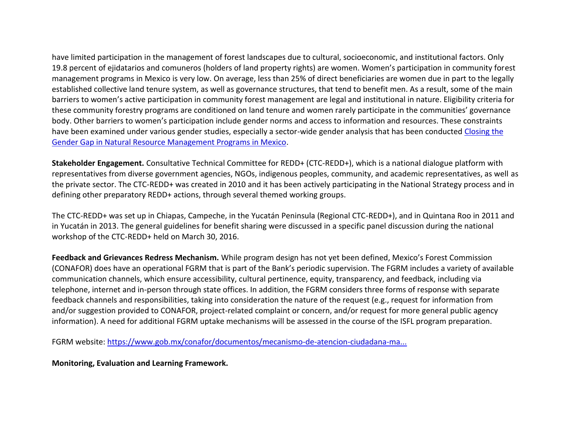have limited participation in the management of forest landscapes due to cultural, socioeconomic, and institutional factors. Only 19.8 percent of ejidatarios and comuneros (holders of land property rights) are women. Women's participation in community forest management programs in Mexico is very low. On average, less than 25% of direct beneficiaries are women due in part to the legally established collective land tenure system, as well as governance structures, that tend to benefit men. As a result, some of the main barriers to women's active participation in community forest management are legal and institutional in nature. Eligibility criteria for these community forestry programs are conditioned on land tenure and women rarely participate in the communities' governance body. Other barriers to women's participation include gender norms and access to information and resources. These constraints have been examined under various gender studies, especially a sector-wide gender analysis that has been conducted [Closing the](http://documents.worldbank.org/curated/en/927551552882513940/pdf/Closing-the-Gender-Gap-in-Natural-Resource-Management-Programs-in-Mexico.pdf)  [Gender Gap in Natural Resource Management Programs in Mexico.](http://documents.worldbank.org/curated/en/927551552882513940/pdf/Closing-the-Gender-Gap-in-Natural-Resource-Management-Programs-in-Mexico.pdf)

**Stakeholder Engagement.** Consultative Technical Committee for REDD+ (CTC-REDD+), which is a national dialogue platform with representatives from diverse government agencies, NGOs, indigenous peoples, community, and academic representatives, as well as the private sector. The CTC-REDD+ was created in 2010 and it has been actively participating in the National Strategy process and in defining other preparatory REDD+ actions, through several themed working groups.

The CTC-REDD+ was set up in Chiapas, Campeche, in the Yucatán Peninsula (Regional CTC-REDD+), and in Quintana Roo in 2011 and in Yucatán in 2013. The general guidelines for benefit sharing were discussed in a specific panel discussion during the national workshop of the CTC-REDD+ held on March 30, 2016.

**Feedback and Grievances Redress Mechanism.** While program design has not yet been defined, Mexico's Forest Commission (CONAFOR) does have an operational FGRM that is part of the Bank's periodic supervision. The FGRM includes a variety of available communication channels, which ensure accessibility, cultural pertinence, equity, transparency, and feedback, including via telephone, internet and in-person through state offices. In addition, the FGRM considers three forms of response with separate feedback channels and responsibilities, taking into consideration the nature of the request (e.g., request for information from and/or suggestion provided to CONAFOR, project-related complaint or concern, and/or request for more general public agency information). A need for additional FGRM uptake mechanisms will be assessed in the course of the ISFL program preparation.

FGRM website: [https://www.gob.mx/conafor/documentos/mecanismo-de-atencion-ciudadana-ma...](https://www.gob.mx/conafor/documentos/mecanismo-de-atencion-ciudadana-mac-19225)

**Monitoring, Evaluation and Learning Framework.**